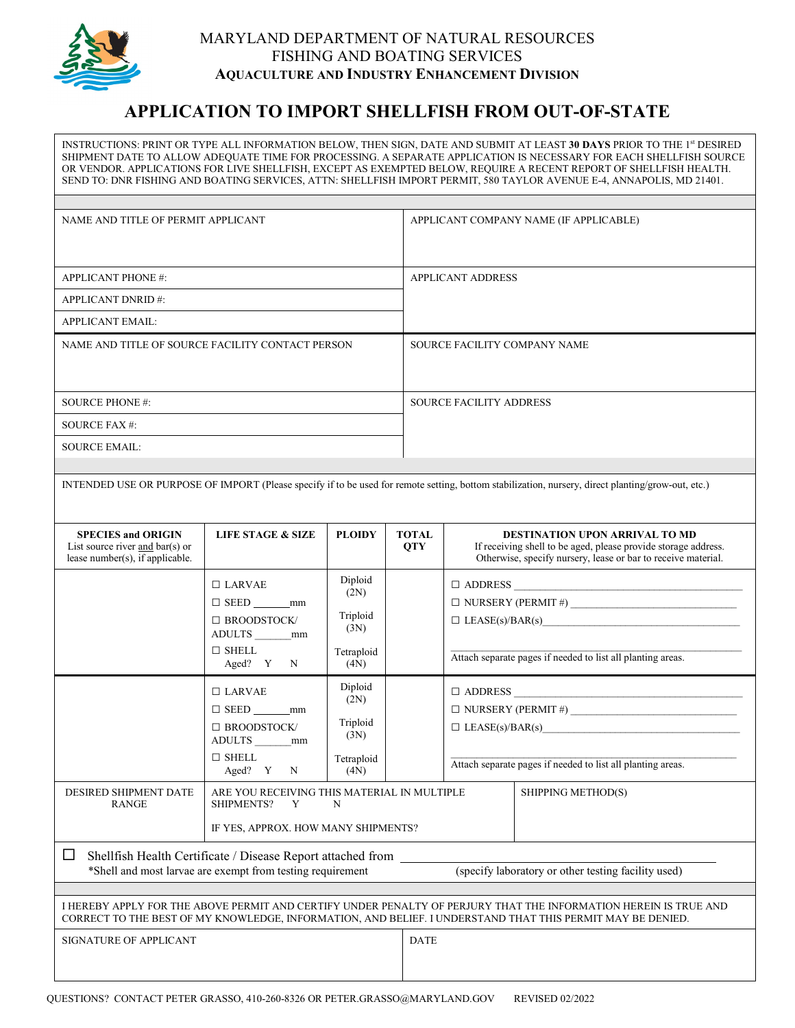

## MARYLAND DEPARTMENT OF NATURAL RESOURCES FISHING AND BOATING SERVICES **AQUACULTURE AND INDUSTRY ENHANCEMENT DIVISION**

## **APPLICATION TO IMPORT SHELLFISH FROM OUT-OF-STATE**

INSTRUCTIONS: PRINT OR TYPE ALL INFORMATION BELOW, THEN SIGN, DATE AND SUBMIT AT LEAST **30 DAYS** PRIOR TO THE 1st DESIRED SHIPMENT DATE TO ALLOW ADEQUATE TIME FOR PROCESSING. A SEPARATE APPLICATION IS NECESSARY FOR EACH SHELLFISH SOURCE OR VENDOR. APPLICATIONS FOR LIVE SHELLFISH, EXCEPT AS EXEMPTED BELOW, REQUIRE A RECENT REPORT OF SHELLFISH HEALTH. SEND TO: DNR FISHING AND BOATING SERVICES, ATTN: SHELLFISH IMPORT PERMIT, 580 TAYLOR AVENUE E-4, ANNAPOLIS, MD 21401.

| NAME AND TITLE OF PERMIT APPLICANT               | APPLICANT COMPANY NAME (IF APPLICABLE) |
|--------------------------------------------------|----------------------------------------|
| <b>APPLICANT PHONE #:</b>                        | <b>APPLICANT ADDRESS</b>               |
| <b>APPLICANT DNRID#:</b>                         |                                        |
| <b>APPLICANT EMAIL:</b>                          |                                        |
| NAME AND TITLE OF SOURCE FACILITY CONTACT PERSON | SOURCE FACILITY COMPANY NAME           |
| <b>SOURCE PHONE #:</b>                           | <b>SOURCE FACILITY ADDRESS</b>         |
| SOURCE FAX #:                                    |                                        |
| <b>SOURCE EMAIL:</b>                             |                                        |
|                                                  |                                        |

INTENDED USE OR PURPOSE OF IMPORT (Please specify if to be used for remote setting, bottom stabilization, nursery, direct planting/grow-out, etc.)

| <b>SPECIES and ORIGIN</b><br>List source river and $bar(s)$ or<br>lease number(s), if applicable.                                                                                                                              | <b>LIFE STAGE &amp; SIZE</b>                                                                            | <b>PLOIDY</b>                                             | <b>TOTAL</b><br><b>OTY</b> | <b>DESTINATION UPON ARRIVAL TO MD</b><br>If receiving shell to be aged, please provide storage address.<br>Otherwise, specify nursery, lease or bar to receive material. |  |  |
|--------------------------------------------------------------------------------------------------------------------------------------------------------------------------------------------------------------------------------|---------------------------------------------------------------------------------------------------------|-----------------------------------------------------------|----------------------------|--------------------------------------------------------------------------------------------------------------------------------------------------------------------------|--|--|
|                                                                                                                                                                                                                                | $\Box$ LARVAE<br>$\Box$ SEED mm<br>$\Box$ BROODSTOCK/<br>ADULTS ________mm<br>$\Box$ SHELL<br>Aged? Y N | Diploid<br>(2N)<br>Triploid<br>(3N)<br>Tetraploid<br>(4N) |                            | Attach separate pages if needed to list all planting areas.                                                                                                              |  |  |
|                                                                                                                                                                                                                                | $\Box$ LARVAE<br>$\Box$ SEED mm<br>$\Box$ BROODSTOCK/<br>ADULTS mm<br>$\Box$ SHELL<br>Aged? Y N         | Diploid<br>(2N)<br>Triploid<br>(3N)<br>Tetraploid<br>(4N) |                            | $\Box$ LEASE(s)/BAR(s)<br>Attach separate pages if needed to list all planting areas.                                                                                    |  |  |
| <b>DESIRED SHIPMENT DATE</b><br><b>RANGE</b>                                                                                                                                                                                   | ARE YOU RECEIVING THIS MATERIAL IN MULTIPLE<br>SHIPMENTS? Y<br>N<br>IF YES, APPROX. HOW MANY SHIPMENTS? |                                                           |                            | SHIPPING METHOD(S)                                                                                                                                                       |  |  |
| ப<br>Shellfish Health Certificate / Disease Report attached from ____________________<br>(specify laboratory or other testing facility used)<br>*Shell and most larvae are exempt from testing requirement                     |                                                                                                         |                                                           |                            |                                                                                                                                                                          |  |  |
| I HEREBY APPLY FOR THE ABOVE PERMIT AND CERTIFY UNDER PENALTY OF PERJURY THAT THE INFORMATION HEREIN IS TRUE AND<br>CORRECT TO THE BEST OF MY KNOWLEDGE, INFORMATION, AND BELIEF. I UNDERSTAND THAT THIS PERMIT MAY BE DENIED. |                                                                                                         |                                                           |                            |                                                                                                                                                                          |  |  |
| SIGNATURE OF APPLICANT                                                                                                                                                                                                         |                                                                                                         |                                                           | <b>DATE</b>                |                                                                                                                                                                          |  |  |